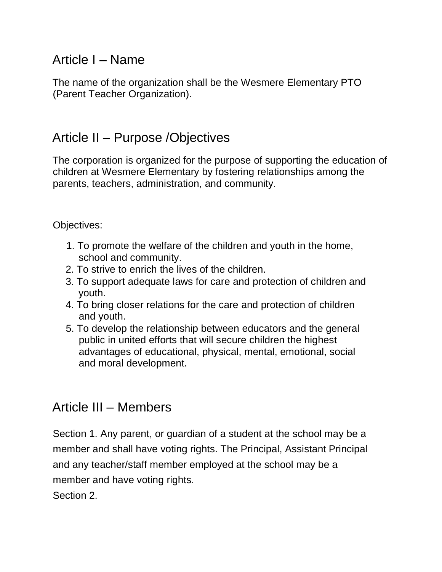# Article I – Name

The name of the organization shall be the Wesmere Elementary PTO (Parent Teacher Organization).

## Article II – Purpose /Objectives

The corporation is organized for the purpose of supporting the education of children at Wesmere Elementary by fostering relationships among the parents, teachers, administration, and community.

Objectives:

- 1. To promote the welfare of the children and youth in the home, school and community.
- 2. To strive to enrich the lives of the children.
- 3. To support adequate laws for care and protection of children and youth.
- 4. To bring closer relations for the care and protection of children and youth.
- 5. To develop the relationship between educators and the general public in united efforts that will secure children the highest advantages of educational, physical, mental, emotional, social and moral development.

## Article III – Members

Section 1. Any parent, or guardian of a student at the school may be a member and shall have voting rights. The Principal, Assistant Principal and any teacher/staff member employed at the school may be a member and have voting rights.

Section 2.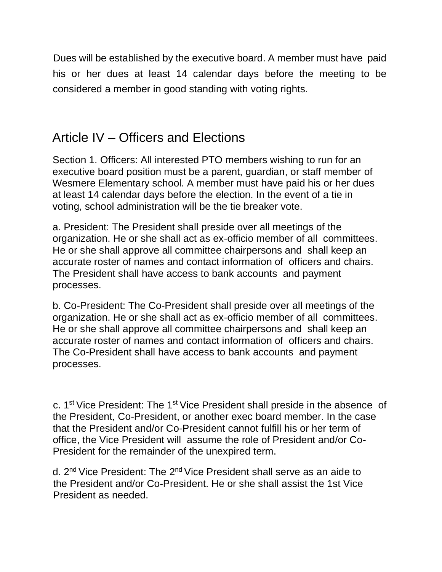Dues will be established by the executive board. A member must have paid his or her dues at least 14 calendar days before the meeting to be considered a member in good standing with voting rights.

# Article IV – Officers and Elections

Section 1. Officers: All interested PTO members wishing to run for an executive board position must be a parent, guardian, or staff member of Wesmere Elementary school. A member must have paid his or her dues at least 14 calendar days before the election. In the event of a tie in voting, school administration will be the tie breaker vote.

a. President: The President shall preside over all meetings of the organization. He or she shall act as ex-officio member of all committees. He or she shall approve all committee chairpersons and shall keep an accurate roster of names and contact information of officers and chairs. The President shall have access to bank accounts and payment processes.

b. Co-President: The Co-President shall preside over all meetings of the organization. He or she shall act as ex-officio member of all committees. He or she shall approve all committee chairpersons and shall keep an accurate roster of names and contact information of officers and chairs. The Co-President shall have access to bank accounts and payment processes.

c. 1st Vice President: The 1st Vice President shall preside in the absence of the President, Co-President, or another exec board member. In the case that the President and/or Co-President cannot fulfill his or her term of office, the Vice President will assume the role of President and/or Co-President for the remainder of the unexpired term.

d. 2<sup>nd</sup> Vice President: The 2<sup>nd</sup> Vice President shall serve as an aide to the President and/or Co-President. He or she shall assist the 1st Vice President as needed.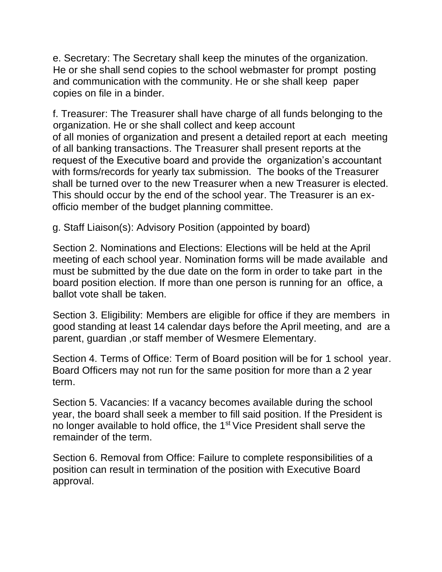e. Secretary: The Secretary shall keep the minutes of the organization. He or she shall send copies to the school webmaster for prompt posting and communication with the community. He or she shall keep paper copies on file in a binder.

f. Treasurer: The Treasurer shall have charge of all funds belonging to the organization. He or she shall collect and keep account of all monies of organization and present a detailed report at each meeting of all banking transactions. The Treasurer shall present reports at the request of the Executive board and provide the organization's accountant with forms/records for yearly tax submission. The books of the Treasurer shall be turned over to the new Treasurer when a new Treasurer is elected. This should occur by the end of the school year. The Treasurer is an exofficio member of the budget planning committee.

g. Staff Liaison(s): Advisory Position (appointed by board)

Section 2. Nominations and Elections: Elections will be held at the April meeting of each school year. Nomination forms will be made available and must be submitted by the due date on the form in order to take part in the board position election. If more than one person is running for an office, a ballot vote shall be taken.

Section 3. Eligibility: Members are eligible for office if they are members in good standing at least 14 calendar days before the April meeting, and are a parent, guardian ,or staff member of Wesmere Elementary.

Section 4. Terms of Office: Term of Board position will be for 1 school year. Board Officers may not run for the same position for more than a 2 year term.

Section 5. Vacancies: If a vacancy becomes available during the school year, the board shall seek a member to fill said position. If the President is no longer available to hold office, the 1<sup>st</sup> Vice President shall serve the remainder of the term.

Section 6. Removal from Office: Failure to complete responsibilities of a position can result in termination of the position with Executive Board approval.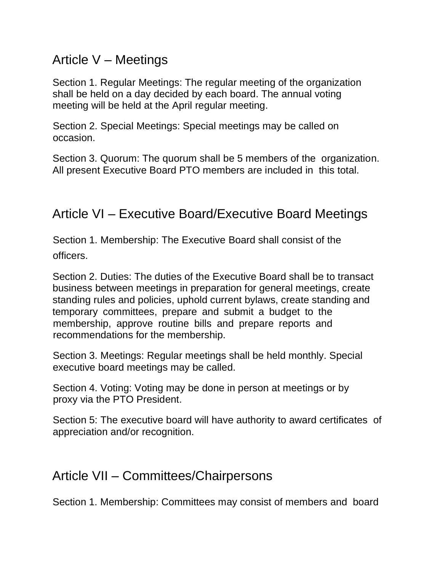## Article V – Meetings

Section 1. Regular Meetings: The regular meeting of the organization shall be held on a day decided by each board. The annual voting meeting will be held at the April regular meeting.

Section 2. Special Meetings: Special meetings may be called on occasion.

Section 3. Quorum: The quorum shall be 5 members of the organization. All present Executive Board PTO members are included in this total.

### Article VI – Executive Board/Executive Board Meetings

Section 1. Membership: The Executive Board shall consist of the officers.

Section 2. Duties: The duties of the Executive Board shall be to transact business between meetings in preparation for general meetings, create standing rules and policies, uphold current bylaws, create standing and temporary committees, prepare and submit a budget to the membership, approve routine bills and prepare reports and recommendations for the membership.

Section 3. Meetings: Regular meetings shall be held monthly. Special executive board meetings may be called.

Section 4. Voting: Voting may be done in person at meetings or by proxy via the PTO President.

Section 5: The executive board will have authority to award certificates of appreciation and/or recognition.

### Article VII – Committees/Chairpersons

Section 1. Membership: Committees may consist of members and board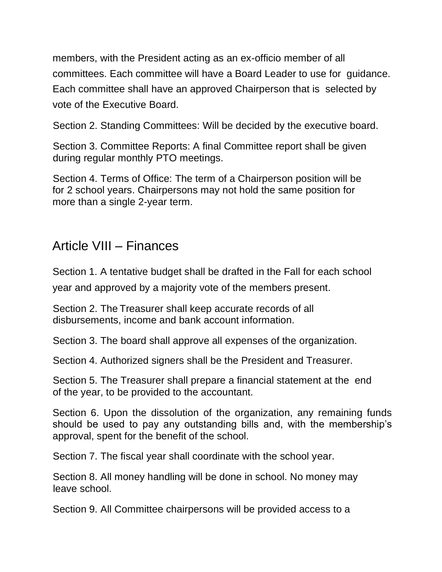members, with the President acting as an ex-officio member of all committees. Each committee will have a Board Leader to use for guidance. Each committee shall have an approved Chairperson that is selected by vote of the Executive Board.

Section 2. Standing Committees: Will be decided by the executive board.

Section 3. Committee Reports: A final Committee report shall be given during regular monthly PTO meetings.

Section 4. Terms of Office: The term of a Chairperson position will be for 2 school years. Chairpersons may not hold the same position for more than a single 2-year term.

# Article VIII – Finances

Section 1. A tentative budget shall be drafted in the Fall for each school year and approved by a majority vote of the members present.

Section 2. The Treasurer shall keep accurate records of all disbursements, income and bank account information.

Section 3. The board shall approve all expenses of the organization.

Section 4. Authorized signers shall be the President and Treasurer.

Section 5. The Treasurer shall prepare a financial statement at the end of the year, to be provided to the accountant.

Section 6. Upon the dissolution of the organization, any remaining funds should be used to pay any outstanding bills and, with the membership's approval, spent for the benefit of the school.

Section 7. The fiscal year shall coordinate with the school year.

Section 8. All money handling will be done in school. No money may leave school.

Section 9. All Committee chairpersons will be provided access to a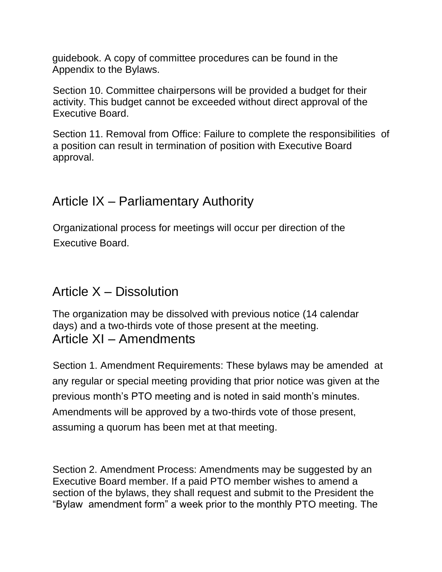guidebook. A copy of committee procedures can be found in the Appendix to the Bylaws.

Section 10. Committee chairpersons will be provided a budget for their activity. This budget cannot be exceeded without direct approval of the Executive Board.

Section 11. Removal from Office: Failure to complete the responsibilities of a position can result in termination of position with Executive Board approval.

## Article IX – Parliamentary Authority

Organizational process for meetings will occur per direction of the Executive Board.

## Article X – Dissolution

The organization may be dissolved with previous notice (14 calendar days) and a two-thirds vote of those present at the meeting. Article XI – Amendments

Section 1. Amendment Requirements: These bylaws may be amended at any regular or special meeting providing that prior notice was given at the previous month's PTO meeting and is noted in said month's minutes. Amendments will be approved by a two-thirds vote of those present, assuming a quorum has been met at that meeting.

Section 2. Amendment Process: Amendments may be suggested by an Executive Board member. If a paid PTO member wishes to amend a section of the bylaws, they shall request and submit to the President the "Bylaw amendment form" a week prior to the monthly PTO meeting. The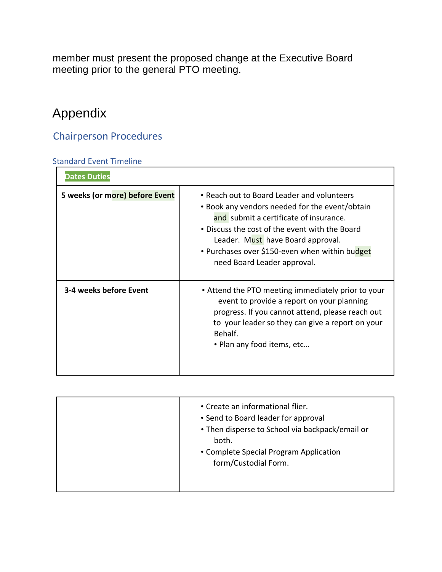member must present the proposed change at the Executive Board meeting prior to the general PTO meeting.

# Appendix

#### Chairperson Procedures

#### Standard Event Timeline

| <b>Dates Duties</b>            |                                                                                                                                                                                                                                                                                                                |
|--------------------------------|----------------------------------------------------------------------------------------------------------------------------------------------------------------------------------------------------------------------------------------------------------------------------------------------------------------|
| 5 weeks (or more) before Event | • Reach out to Board Leader and volunteers<br>• Book any vendors needed for the event/obtain<br>and submit a certificate of insurance.<br>• Discuss the cost of the event with the Board<br>Leader. Must have Board approval.<br>• Purchases over \$150-even when within budget<br>need Board Leader approval. |
| 3-4 weeks before Event         | • Attend the PTO meeting immediately prior to your<br>event to provide a report on your planning<br>progress. If you cannot attend, please reach out<br>to your leader so they can give a report on your<br>Behalf.<br>• Plan any food items, etc                                                              |

| • Create an informational flier.<br>• Send to Board leader for approval<br>• Then disperse to School via backpack/email or<br>both.<br>• Complete Special Program Application<br>form/Custodial Form. |  |
|-------------------------------------------------------------------------------------------------------------------------------------------------------------------------------------------------------|--|
|-------------------------------------------------------------------------------------------------------------------------------------------------------------------------------------------------------|--|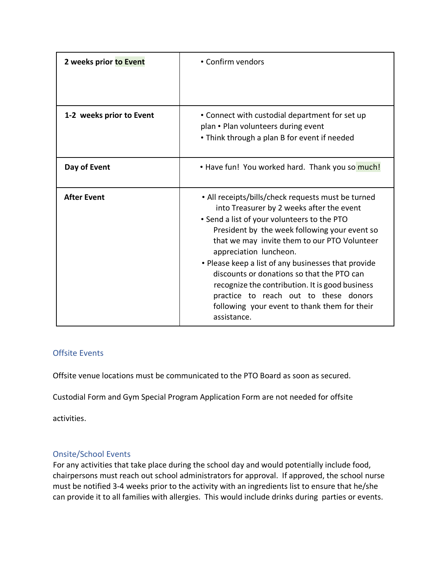| 2 weeks prior to Event   | • Confirm vendors                                                                                                                                                                                                                                                                                                                                                                                                                                                                                                                         |
|--------------------------|-------------------------------------------------------------------------------------------------------------------------------------------------------------------------------------------------------------------------------------------------------------------------------------------------------------------------------------------------------------------------------------------------------------------------------------------------------------------------------------------------------------------------------------------|
| 1-2 weeks prior to Event | • Connect with custodial department for set up<br>plan • Plan volunteers during event<br>• Think through a plan B for event if needed                                                                                                                                                                                                                                                                                                                                                                                                     |
| Day of Event             | • Have fun! You worked hard. Thank you so much!                                                                                                                                                                                                                                                                                                                                                                                                                                                                                           |
| <b>After Event</b>       | • All receipts/bills/check requests must be turned<br>into Treasurer by 2 weeks after the event<br>• Send a list of your volunteers to the PTO<br>President by the week following your event so<br>that we may invite them to our PTO Volunteer<br>appreciation luncheon.<br>• Please keep a list of any businesses that provide<br>discounts or donations so that the PTO can<br>recognize the contribution. It is good business<br>practice to reach out to these donors<br>following your event to thank them for their<br>assistance. |

#### Offsite Events

Offsite venue locations must be communicated to the PTO Board as soon as secured.

Custodial Form and Gym Special Program Application Form are not needed for offsite

activities.

#### Onsite/School Events

For any activities that take place during the school day and would potentially include food, chairpersons must reach out school administrators for approval. If approved, the school nurse must be notified 3-4 weeks prior to the activity with an ingredients list to ensure that he/she can provide it to all families with allergies. This would include drinks during parties or events.